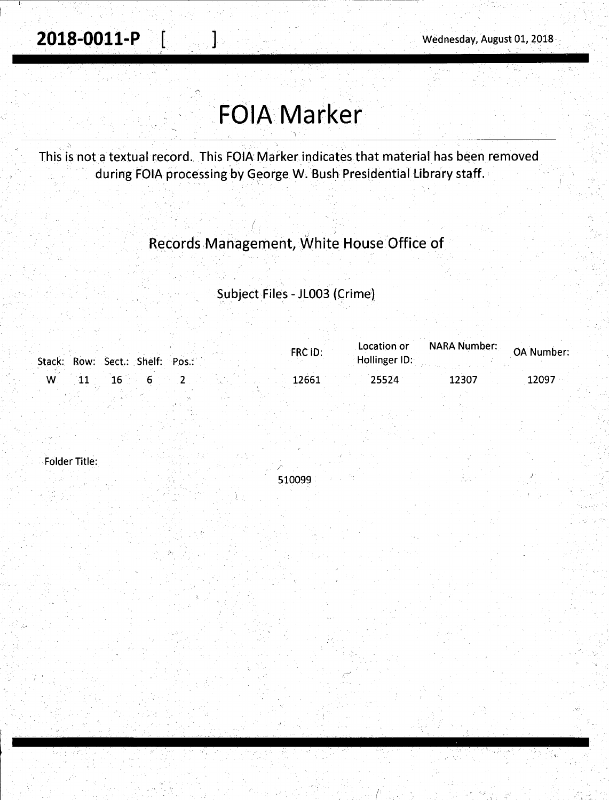# **FOIA Marker**

This is not a textual record. This FOIA Marker indicates that material has been removed during FOIA processing by George W. Bush Presidential Library staff.

### Records,Management, White House Office of

/ {

### Subject Files - JL003 (Crime)

| Stack: Row: Sect.: Shelf: Pos.: | FRC ID: | Location or<br>Hollinger ID: | <b>NARA Number:</b> | <b>OA Number:</b> |
|---------------------------------|---------|------------------------------|---------------------|-------------------|
| - W                             | 12661   | 25524                        | 12307               | 12097             |

Folder Title:

510099

 $\bigwedge$ 

,. /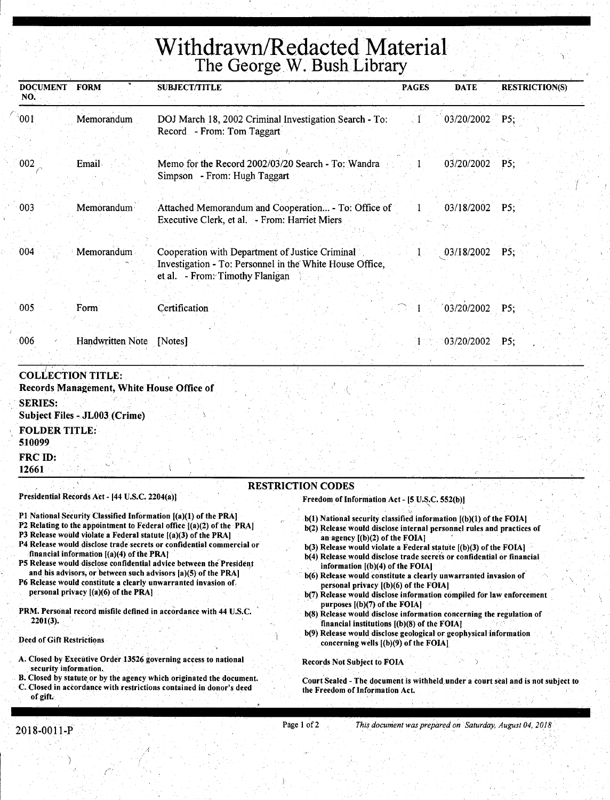## Withdrawn/Redacted Material Number 2014 The George W. Bush Library

| <b>DOCUMENT</b><br>NO.                    | <b>FORM</b>                                                                        | <b>SUBJECT/TITLE</b>                                                                                                                                                                                                                                                                                                                                                                                                                                                                                                                                                                                                                                                                                                                                                                                                                                                                                                                                                                                                                                                                                                                     | <b>PAGES</b> | <b>DATE</b>      | <b>RESTRICTION(S)</b> |
|-------------------------------------------|------------------------------------------------------------------------------------|------------------------------------------------------------------------------------------------------------------------------------------------------------------------------------------------------------------------------------------------------------------------------------------------------------------------------------------------------------------------------------------------------------------------------------------------------------------------------------------------------------------------------------------------------------------------------------------------------------------------------------------------------------------------------------------------------------------------------------------------------------------------------------------------------------------------------------------------------------------------------------------------------------------------------------------------------------------------------------------------------------------------------------------------------------------------------------------------------------------------------------------|--------------|------------------|-----------------------|
| 001                                       | Memorandum                                                                         | DOJ March 18, 2002 Criminal Investigation Search - To:<br>Record - From: Tom Taggart                                                                                                                                                                                                                                                                                                                                                                                                                                                                                                                                                                                                                                                                                                                                                                                                                                                                                                                                                                                                                                                     |              | 03/20/2002 P5;   |                       |
| 002                                       | Email                                                                              | Memo for the Record 2002/03/20 Search - To: Wandra<br>Simpson - From: Hugh Taggart                                                                                                                                                                                                                                                                                                                                                                                                                                                                                                                                                                                                                                                                                                                                                                                                                                                                                                                                                                                                                                                       |              | $03/20/2002$ P5; |                       |
| 003                                       | Memorandum                                                                         | Attached Memorandum and Cooperation - To: Office of<br>Executive Clerk, et al. - From: Harriet Miers                                                                                                                                                                                                                                                                                                                                                                                                                                                                                                                                                                                                                                                                                                                                                                                                                                                                                                                                                                                                                                     | 1            | 03/18/2002       | P5;                   |
| 004                                       | Memorandum                                                                         | Cooperation with Department of Justice Criminal<br>Investigation - To: Personnel in the White House Office,<br>et al. - From: Timothy Flanigan                                                                                                                                                                                                                                                                                                                                                                                                                                                                                                                                                                                                                                                                                                                                                                                                                                                                                                                                                                                           |              | 03/18/2002       | P5:                   |
| 005                                       | Form                                                                               | Certification                                                                                                                                                                                                                                                                                                                                                                                                                                                                                                                                                                                                                                                                                                                                                                                                                                                                                                                                                                                                                                                                                                                            |              | 03/20/2002       | PS                    |
| 006                                       | Handwritten Note                                                                   | [Notes]                                                                                                                                                                                                                                                                                                                                                                                                                                                                                                                                                                                                                                                                                                                                                                                                                                                                                                                                                                                                                                                                                                                                  |              | 03/20/2002       | P5:                   |
| <b>FOLDER TITLE:</b><br>510099<br>FRC ID: | Subject Files - JL003 (Crime)                                                      |                                                                                                                                                                                                                                                                                                                                                                                                                                                                                                                                                                                                                                                                                                                                                                                                                                                                                                                                                                                                                                                                                                                                          |              |                  |                       |
| 12661                                     |                                                                                    |                                                                                                                                                                                                                                                                                                                                                                                                                                                                                                                                                                                                                                                                                                                                                                                                                                                                                                                                                                                                                                                                                                                                          |              |                  |                       |
|                                           | Presidential Records Act - [44 U.S.C. 2204(a)]                                     | <b>RESTRICTION CODES</b>                                                                                                                                                                                                                                                                                                                                                                                                                                                                                                                                                                                                                                                                                                                                                                                                                                                                                                                                                                                                                                                                                                                 |              |                  |                       |
|                                           | financial information [(a)(4) of the PRA]<br>personal privacy $[(a)(6)$ of the PRA | Freedom of Information Act - [5 U.S.C. 552(b)]<br>P1 National Security Classified Information [(a)(1) of the PRA]<br>$b(1)$ National security classified information $[(b)(1)$ of the FOIA]<br>P2 Relating to the appointment to Federal office [(a)(2) of the PRA]<br>b(2) Release would disclose internal personnel rules and practices of<br>P3 Release would violate a Federal statute $( \bf{a} ) (3)$ of the PRA]<br>an agency $[(b)(2)$ of the FOIA]<br>P4 Release would disclose trade secrets or confidential commercial or<br>$b(3)$ Release would violate a Federal statute $(6)(3)$ of the FOIA]<br>b(4) Release would disclose trade secrets or confidential or financial<br>P5 Release would disclose confidential advice between the President<br>information $($ b $)($ 4 $)$ of the FOIA $\vert$<br>and his advisors, or between such advisors [a)(5) of the PRA]<br>b(6) Release would constitute a clearly unwarranted invasion of<br>P6 Release would constitute a clearly unwarranted invasion of<br>personal privacy $(1)(6)$ of the FOIA]<br>b(7) Release would disclose information compiled for law enforcement |              |                  |                       |
| 2201(3).<br>Deed of Gift Restrictions     |                                                                                    | purposes $[(b)(7)$ of the FOIA<br>PRM. Personal record misfile defined in accordance with 44 U.S.C.<br>b(8) Release would disclose information concerning the regulation of<br>financial institutions $(6)(8)$ of the FOIA]<br>b(9) Release would disclose geological or geophysical information<br>concerning wells $[(b)(9)$ of the FOIA]                                                                                                                                                                                                                                                                                                                                                                                                                                                                                                                                                                                                                                                                                                                                                                                              |              |                  |                       |
| security information.<br>of gift.         |                                                                                    | A. Closed by Executive Order 13526 governing access to national<br><b>Records Not Subject to FOIA</b><br>B. Closed by statute or by the agency which originated the document.<br>Court Sealed - The document is withheld under a court seal and is not subject to<br>C. Closed in accordance with restrictions contained in donor's deed<br>the Freedom of Information Act.                                                                                                                                                                                                                                                                                                                                                                                                                                                                                                                                                                                                                                                                                                                                                              |              |                  |                       |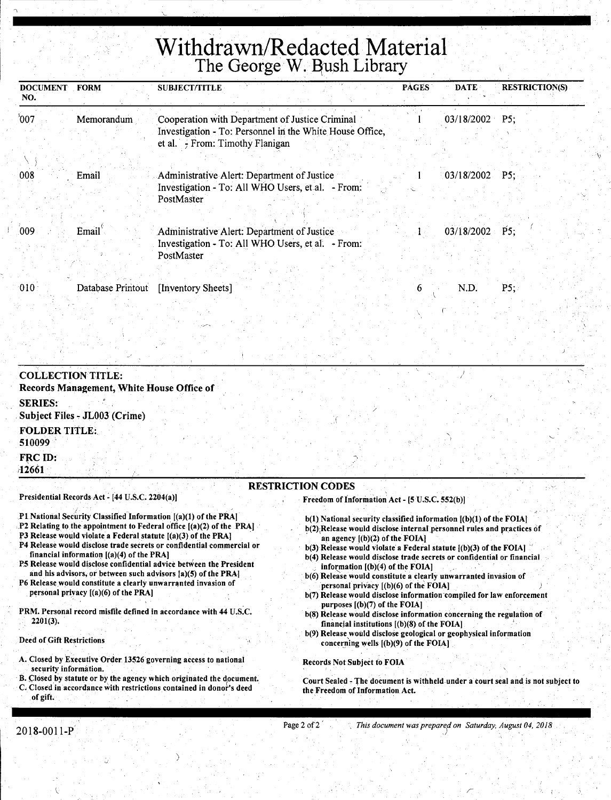## **Withdrawn/Redacted Material**  The George W. Bush Library

| <b>DOCUMENT</b><br>NO. | <b>FORM</b>       | <b>SUBJECT/TITLE</b>                                                                                        | <b>PAGES</b> | <b>DATE</b> | <b>RESTRICTION(S)</b> |
|------------------------|-------------------|-------------------------------------------------------------------------------------------------------------|--------------|-------------|-----------------------|
| $^{\circ}007$          | Memorandum        | Cooperation with Department of Justice Criminal<br>Investigation - To: Personnel in the White House Office, |              | 03/18/2002  | P5:                   |
|                        |                   | et al. - From: Timothy Flanigan                                                                             |              |             |                       |
| 008                    | Email             | Administrative Alert: Department of Justice                                                                 |              | 03/18/2002  | P5:                   |
|                        |                   | Investigation - To: All WHO Users, et al. - From:<br>PostMaster                                             |              |             |                       |
| 009                    | Email             | Administrative Alert: Department of Justice                                                                 |              | 03/18/2002  | P5:                   |
|                        |                   | Investigation - To: All WHO Users, et al. - From:<br>PostMaster                                             |              |             |                       |
|                        |                   |                                                                                                             |              |             |                       |
| $ 010\rangle$          | Database Printout | [Inventory Sheets]                                                                                          | h            | N.D.        | PS;                   |

| <b>COLLECTION TITLE:</b><br>Records Management, White House Office of |                          |                                                |  |
|-----------------------------------------------------------------------|--------------------------|------------------------------------------------|--|
| <b>SERIES:</b><br>Subject Files - JL003 (Crime)                       |                          |                                                |  |
| <b>FOLDER TITLE:</b><br>510099                                        |                          |                                                |  |
| FRC ID:<br>12661                                                      |                          |                                                |  |
| Presidential Records Act - [44 U.S.C. 2204(a)]                        | <b>RESTRICTION CODES</b> | Freedom of Information Act - 15 U.S.C. 552(b)] |  |

- Pl National Security Classified Information [(a)(1) of the PRA]
- .P2 Relating to the appointment to Federal office [(a)(2) of the PRAJ

~

- P3 Release would violate a Federal statute [(a)(3) of the PRAJ
- P4 Release would disclose trade secrets or confidential commercial or financial information [(a)(4) of the PRA]
- P5 Release would disclose confidential advice between the President and his advisors, or between such advisors [a)(5) of the PRA)
- P6 Release would constitute a clearly unwarranted invasion of personal privacy  $[(a)(6)$  of the PRA]
- PRM. Personal record misfile defined in accordance with 44 U.S.C. 2201(3).

#### Deed of Gift Restrictions

 $\mathbb{I}$ '

- A. Closed by Executive Order 13526 governing access to national security information.
- B. Closed by statute or by the agency which originated the document. C. Closed in accordance with restrictions contained in donor's deed of gift.

)

#### Freedom of Information Act - (5 U.S.C. 552(b)J

- b(l) National security classified information ((b)(l) of the FOIAJ
- b(2) Release would disclose internal personnel rules and practices of an agency  $[(b)(2)$  of the FOIA]

 $\lambda$ 

- b(3) Release would violate a Federal statute  $[(b)(3)$  of the FOIA]
- b(4) Release would disclose trade secrets or confidential or financial  $information (b)(4) of the FOIA$
- b(6) Release would constitute a clearly unwarranted invasion of personal privacy [(b)(6) of the FOIAJ
- b(7) Release would disclose information compiled for law enforcement purposes  $[(b)(7)$  of the FOIA]
- b(8) Release would disclose information concerning the regulation of financial institutions  $[(b)(8)$  of the FOIA]
- b(9) Release would disclose geological or geophysical information concerning wells  $[(b)(9)$  of the FOIA]

#### Records Not Subject to FOIA

Court Sealed -The document is withheld under a court seal and is not subject to the Freedom of Information Act.

#### Page 2 of 2<sup>2</sup> *This document was prepared on Saturday, August 04, 2018*  $\epsilon$  ) in the interaction of  $J$  , and the set of  $\mathcal{A}_i$  and  $\mathcal{A}_j$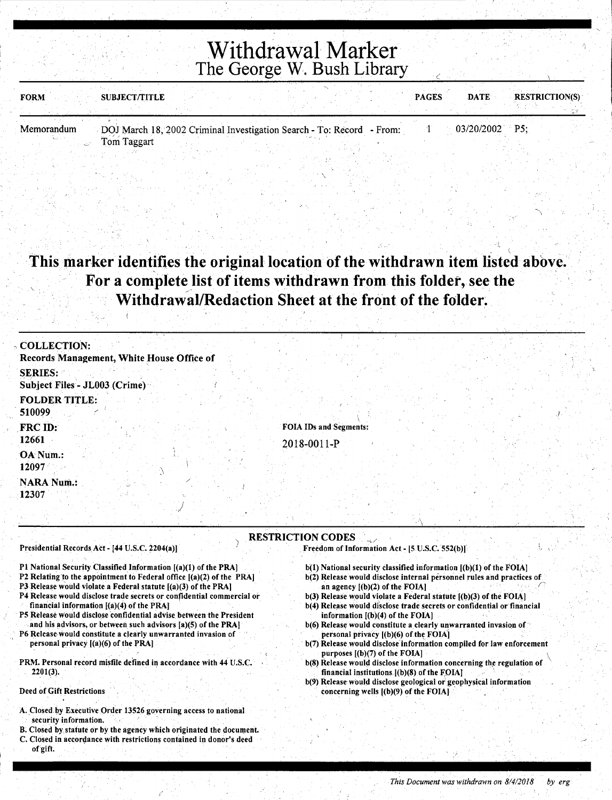| SUBJECT/TITLE<br><b>FORM</b> |                                                                       | <b>PAGES</b> | <b>RESTRICTION(S)</b><br><b>DATE</b> |  |
|------------------------------|-----------------------------------------------------------------------|--------------|--------------------------------------|--|
|                              |                                                                       |              |                                      |  |
| Memorandum                   | DOJ March 18, 2002 Criminal Investigation Search - To: Record - From: |              | $03/20/2002$ P5;                     |  |
| Tom Taggart                  |                                                                       |              |                                      |  |

### This marker identifies the original location of the withdrawn item listed above. For a complete list of items withdrawn from this folder, see the Withdrawal/Redaction Sheet at the front of the folder.

| <b>COLLECTION:</b>                             |                               |                                                |  |
|------------------------------------------------|-------------------------------|------------------------------------------------|--|
| Records Management, White House Office of      |                               |                                                |  |
| <b>SERIES:</b>                                 |                               |                                                |  |
| Subject Files - JL003 (Crime)                  |                               |                                                |  |
| <b>FOLDER TITLE:</b><br>510099                 |                               |                                                |  |
| <b>FRC ID:</b>                                 | <b>FOIA IDs and Segments:</b> |                                                |  |
| 12661                                          | $2018 - 0011 - P$             |                                                |  |
| OA Num.:<br>12097                              |                               |                                                |  |
| NARA Num.:<br>12307                            |                               |                                                |  |
|                                                |                               |                                                |  |
| Presidential Records Act - [44 U.S.C. 2204(a)] | <b>RESTRICTION CODES</b>      | Freedom of Information Act - [5 U.S.C. 552(b)] |  |

- Pl National Security Classified Information [(a)(l) of the PRA]
- P2 Relating to the appointment to Federal office [(a)(2) of the PRA]
- P3 Release would violate a Federal statute [(a)(3) of the PRA)
- P4 Release would disclose trade secrets or confidential commercial or financial information  $[(a)(4)$  of the PRA]
- P5 Release would disclose confidential advise between the President and his advisors, or between such advisors [a)(S) of the PRA)
- P6 Release would constitute a clearly unwarranted invasion of personal privacy [(a)(6) of the PRA)
- PRM. Personal record misfile defined in accordance with 44 U.S.C.  $2201(3)$ .
- Deed of Gift Restrictions
- A. Closed by Executive Order 13526 governing access to national security information.
- B; Closed by statute or by the agency which originated the document.
- C. Closed in accordance with restrictions contained in donor's deed of gift.
- 
- b(l) National security classified information [(b)(l) of the FOIA) b(2) Release would disclose internal personnel rules and practices of
- an agency  $[(b)(2)$  of the FOIA]
- b(3) Release would violate a Federal statute [(b)(3) of the FOIA)
- b(4) Release would disclose trade secrets or confidential or financial information  $[(b)(4)$  of the FOIA]
- b(6) Release would constitute a clearly unwarranted invasion of personal privacy [(b)(6) of the FOIA]
- b(7) Release would disclose information compiled for law enforcement purposes [(b)(7) of the FOIA) \
- b(8) Release would disclose information concerning the regulation of financial institutions.  $[(b)(8)$  of the FOIA]
- b(9) Release would disclose geological or geophysical information concerning wells  $[(b)(9)$  of the FOIA]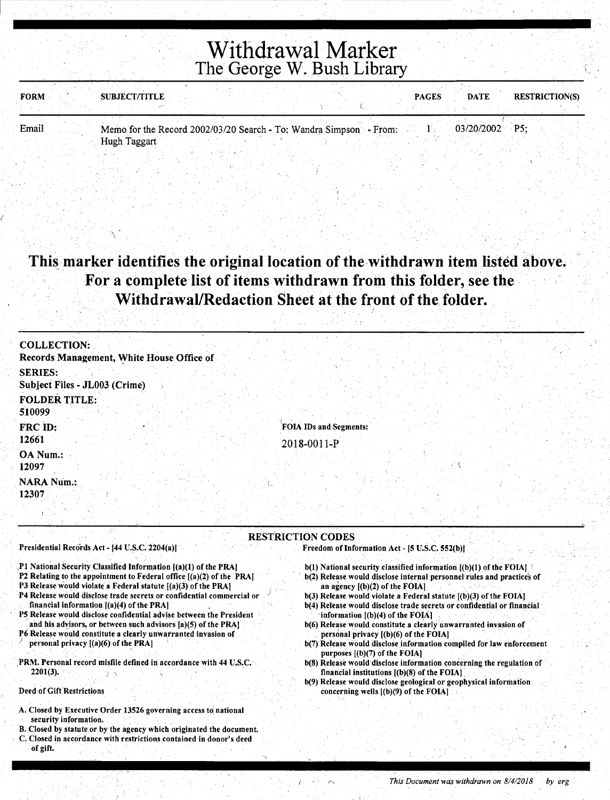| <b>FORM</b> | <b>SUBJECT/TITLE</b>                                               |  | <b>PAGES</b> | <b>DATE</b>      | <b>RESTRICTION(S)</b> |
|-------------|--------------------------------------------------------------------|--|--------------|------------------|-----------------------|
|             |                                                                    |  |              |                  |                       |
| Email       | Memo for the Record 2002/03/20 Search - To: Wandra Simpson - From: |  |              | $03/20/2002$ P5: |                       |
|             | Hugh Taggart                                                       |  |              |                  |                       |
|             |                                                                    |  |              |                  |                       |

### This marker identifies the original location of the withdrawn item listed above. **For a complete list of items withdrawn from this folder, see the**  Withdrawal/Redaction Sheet at the front of the folder.

| <b>COLLECTION:</b>                        |
|-------------------------------------------|
| Records Management, White House Office of |
|                                           |
| <b>SERIES:</b>                            |
| Subject Files - JL003 (Crime)             |
| <b>FOLDER TITLE:</b>                      |
|                                           |
| 510099                                    |
| FOIA IDs and Segments:<br>FRC ID:         |
| 12661                                     |
| 2018-0011-P                               |
| OA Num.:                                  |
| 12097                                     |
| <b>NARA Num.:</b>                         |
| 12307                                     |
|                                           |
|                                           |
|                                           |
| <b>RESTRICTION CODES</b>                  |

Presidential Records Act - [44 U.S.C. 2204(a)]

\

- .,Pl National Security Classified Information [(a)(l) of the PRAJ
- P2 Relating to the appointment to Federal office [(a)(2) of the PRAJ
- P3 Release would violate a Federal statute [(a)(3) of the PRAJ
- P4 Release would disclose trade secrets or confidential commercial or financial information [(a)(4) of the PRAJ
- P5 Release would disclose confidential advise between the President . and his advisors, or between such advisors [a)(5) of the PRAJ
- P6 Release would constitute a clearly unwarranted invasion of personal privacy  $[(a)(6)$  of the PRA]
- .PRM. Personal record misfile defined in accordance with 44 U.S.C. 2201(3).

Deed of Gift Restrictions

/

- A. Closed by Executive Order 13526 governing access to national security information.
- B.Closed by statute.or by the agency which originated the document.
- C. Closed in accordance with restrictions contained in donor's deed of gift.

 $b(1)$  National security classified information  $[(b)(1)$  of the FOIA] b(2) Release would disclose internal personnel rules and practice's of

Freedom of Information Act - [5 U.S.C. 552(b)]

- an agency  $[(b)(2)$  of the FOIA] b(3) Release would violate a Federal statute [(b)(3) of the FOIAJ
- b(4) Release would disclose trade secrets or confidential or financial ·information [(b)(4) of the FOIAJ
- b(6) Release would constitute a clearly unwarranted invasion of personal privacy [(b)(6) of the FOIA]
- b(7) Release would disclose information compiled for law enforcement purposes [(b)(7) of the FOIAJ
- b(8) Release would disclose information concerning the regulation of financial institutions [(b)(8) of the FOIAJ.
- b(9) Release would disclose geological or geophysical information concerning wells [(b)(9) of the FOIAJ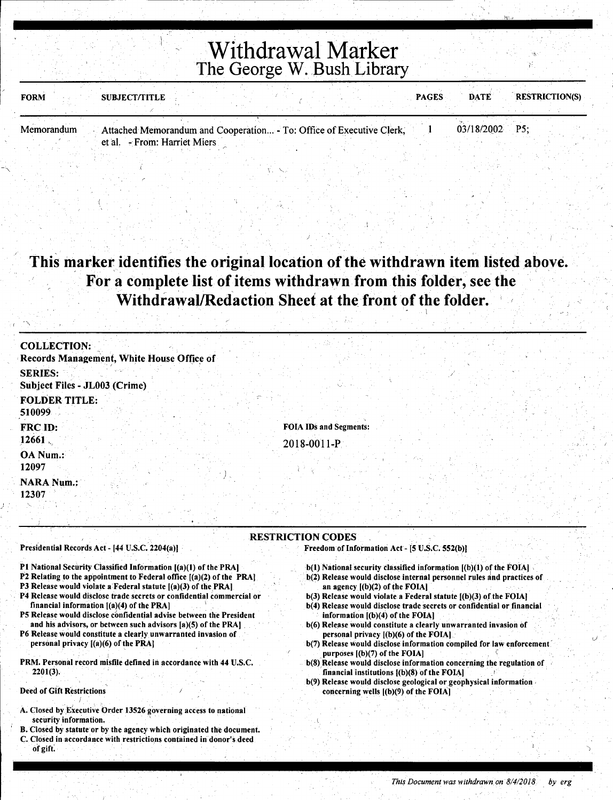| <b>FORM</b> | <b>SUBJECT/TITLE</b>                                                 |  | <b>PAGES</b> | <b>DATE</b>      | <b>RESTRICTION(S)</b> |
|-------------|----------------------------------------------------------------------|--|--------------|------------------|-----------------------|
|             |                                                                      |  |              |                  |                       |
| Memorandum  | Attached Memorandum and Cooperation - To: Office of Executive Clerk, |  |              | $03/18/2002$ P5; |                       |
|             | et al. - From: Harriet Miers                                         |  |              |                  |                       |

### This marker identifies the original location of the withdrawn item listed above. For a complete list of items withdrawn from this folder, see the Withdrawal/Redaction Sheet at the front of the folder.

| <b>COLLECTION:</b>                        |                               |
|-------------------------------------------|-------------------------------|
| Records Management, White House Office of |                               |
| <b>SERIES:</b>                            |                               |
| Subject Files - JL003 (Crime)             |                               |
| <b>FOLDER TITLE:</b><br>510099            |                               |
| FRC ID:                                   | <b>FOIA IDs and Segments:</b> |
| 12661                                     | 2018-0011-P                   |
| OA Num.:<br>12097                         |                               |
| <b>NARA Num.:</b>                         |                               |
| 12307                                     |                               |

RESTRICTION CODES

#### Presidential Records Act - [44 U.S.C. 2204(a))

- Pl National Security Classified Information [(a)(l) of the PRA)
- P2 Relating to the appointment to Federal office [(a)(2) of the PRA)
- P3 Release would violate a Federal statute  $[(a)(3)$  of the PRA]
- P4 Release would disclose trade secrets or confidential commercial or financial information  $[(a)(4)$  of the PRA]
- P5 Release would disclose confidential advise between the President and his advisors, or between such advisors [a)(5) of the PRA]
- P6 Release would constitute a clearly unwarranted invasion of personal privacy [(a)(6) of the PRA)
- PRM. Personal record misfile defined in accordance with 44 U.S.C. 2201(3).

#### Deed of Gift Restrictions

}

- A. Closed by Executive Order 13526 governing access to national security information.
- B. Closed by statute or by the agency which originated the document. C. Closed in accordance with restrictions contained in donor's deed of gift. So shink with the second state of the second condition of the state of the state second state  $\lambda$

 $b(1)$  National security classified information  $[(b)(1)$  of the FOIA]

Freedom of Information Act - [5 U.S.C. 552(b)]

- b(2) Release would disclose internal personnel rules and practices of an agency [(b)(2) of the FOIA)
- b(3) Release would violate a Federal statute  $[(b)(3)$  of the FOIA]
- b(4) Release would disclose trade secrets or confidential or financial information  $[(b)(4)$  of the FOIA]
- b(6) Release would constitute a clearly unwarranted invasion of personal privacy [(b)(6) of the FOIAJ
- b(7) Release would disclose information compiled for law enforcement. purposes  $[(b)(7)$  of the FOIA]
- b(8) Release would disclose information concerning the regulation of financial institutions  $[(b)(8)$  of the FOIA]
- b(9) Release would disclose geological or geophysical information . concerning wells  $[(b)(9)$  of the FOIA]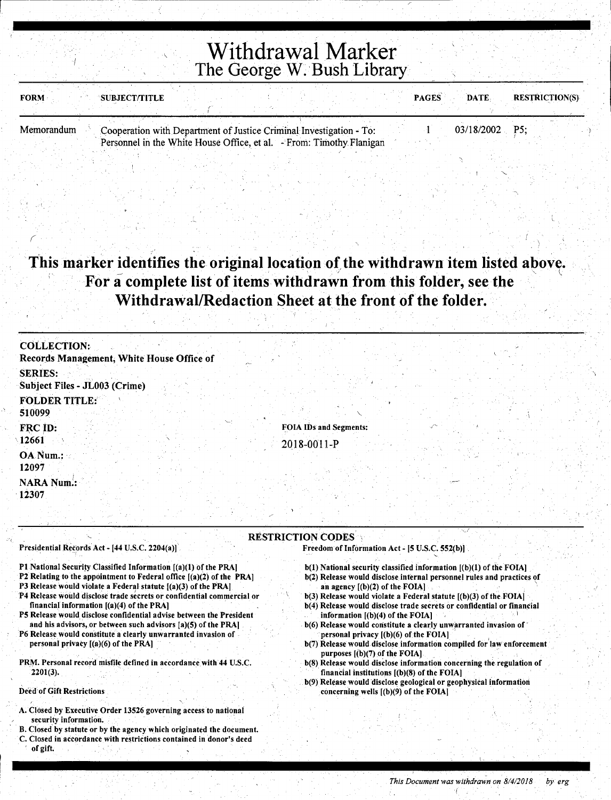| <b>FORM</b> | <b>`SUBJECT/TITLE</b>                                                |  |  | <b>PAGES</b> | <b>DATE</b>    | <b>RESTRICTION(S)</b> |  |
|-------------|----------------------------------------------------------------------|--|--|--------------|----------------|-----------------------|--|
|             |                                                                      |  |  |              |                |                       |  |
| Memorandum  | Cooperation with Department of Justice Criminal Investigation - To:  |  |  |              | 03/18/2002 P5: |                       |  |
|             | Personnel in the White House Office, et al. - From: Timothy Flanigan |  |  |              |                |                       |  |

### This marker identifies the original location of the withdrawn item listed above. For a complete list of items withdrawn from this folder, see the Withdrawal/Redaction Sheet at the front of the folder.

| <b>COLLECTION:</b>                              |                        |
|-------------------------------------------------|------------------------|
| Records Management, White House Office of       |                        |
| <b>SERIES:</b><br>Subject Files - JL003 (Crime) |                        |
| <b>FOLDER TITLE:</b><br>510099                  |                        |
| FRC ID:<br>12661                                | FOIA IDs and Segments: |
| OA Num.:<br>12097                               | 2018-0011-P            |
| <b>NARA Num.:</b><br>12307                      |                        |
|                                                 |                        |

### RESTRICTION CODES

Presidential Records Act - [44 U.S.C. 2204(a)]

- Pl National Security Classified Information [(a)(l) of the PRA]
- P2 Relating to the appointment to Federal office [(a)(2) of the PRA]
- P3 Release would violate a Federal statute [(a)(3) of the PRAJ
- P4 Release would disclose trade secrets or confidential commercial or financial information [(a)(4) of the PRA]
- P5 Release would disclose confidential advise between the President and his advisors, or between such advisors (a)(5) of the PRA]
- P6 Release would constitute a clearly unwarranted invasion of personal privacy [(a)(6) of the PRA]
- PRM. Personal record misfile defined in accordance with 44 U.S.C. 2201(3).

Deed of Gift Restrictions

1-------------- -

(

- A. Closed by Executive Order 13526 governing access to national security information.
- B. Closed by statute or by the agency which originated the document. C. Closed in accordance with restrictions contained in donor's deed of gift.
- $Freedom of Information Act [5 U.S.C. 552(b)]$ 
	- b(l) National security classified information [(b)(l) of the FOIA]
	- b(2) Release would disclose internal personnel rules and practices of an agency [(b)(2) of the FOIA] '
	- b(3) Release would violate a Federal statute [(b)(3) of the FOIA]
	- b(4) Release would disclose trade secrets or confidential or financial information  $[(b)(4)$  of the FOIA]
	- $b(6)$  Release would constitute a clearly unwarranted invasion of personal privacy [(b)(6) of the FOIA] \_
	- b(7) Release would disclose information compiled for' law enforcement purposes  $[(b)(7)$  of the FOIA]
	- b(8) Release would disclose information concerning the regulation of financial institutions [(b)(8) of the FOIA]
	- b(9) Release would disclose geologicai or geophysical information concerning wells  $[(b)(9)$  of the FOIA]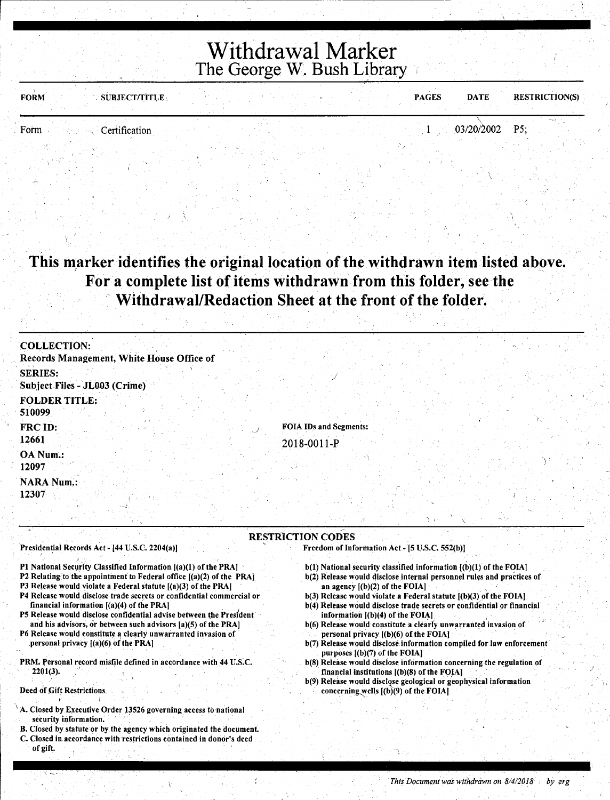| SUBJECT/TITLE<br><b>FORM</b> |  | <b>PAGES</b> | <b>DATE</b>    | <b>RESTRICTION(S)</b> |
|------------------------------|--|--------------|----------------|-----------------------|
| Form<br>Certification        |  |              | 03/20/2002 P5; |                       |
|                              |  |              |                |                       |

This marker identifies the original location of the withdrawn item listed above. For a complete list of items withdrawn from this folder, see the Withdrawal/Redaction Sheet at the front of the folder.

| <b>COLLECTION:</b>                              |                               |
|-------------------------------------------------|-------------------------------|
| Records Management, White House Office of       |                               |
| <b>SERIES:</b><br>Subject Files - JL003 (Crime) |                               |
| <b>FOLDER TITLE:</b><br>510099                  |                               |
| FRC ID:                                         | <b>FOIA IDs and Segments:</b> |
| 12661                                           | 2018-0011-P                   |
| OA Num.:<br>12097                               |                               |
| <b>NARA Num.:</b>                               |                               |
| 12307                                           |                               |

#### RESTRICTION CODES Freedom of Information Act - [5 U.S.C. 552(b)]

Presidential Records Act - [44 U.S.C. 2204(a)]

\

- P1 National Security Classified Information [(a)(1) of the PRA]
- P2 Relating to the appointment to Federal office  $[(a)(2)$  of the PRA]
- P3 Release would violate a Federal statute [(a)(3) of the PRA)
- P4 Release would disclose trade secrets or confidential commercial or financial information  $[(a)(4)$  of the PRA]
- P5 Release would disclose confidential advise between the President and his advisors, or between such advisors [a)(S) of the PRA]
- P6 Release would constitute a clearly unwarranted invasion of personal privacy [(a)(6) of the PRA]
- PRM. Personal record misfile defined in accordance with 44 U.S.C.  $2201(3)$ .

#### Deed of Gift Restrictions

- A. Closed by Executive Order 13526 governing access to national security information.
- B. Closed by statute or by the agency which originated the document. C. Closed in accordance with restrictions contained in donor's deed of gift.

b(l) National security classified information [(b)(l) of the FOIA] b(2) Release would disclose internal personnel rules and practices of an agency  $[(b)(2)$  of the FOIA]

 $\gamma$  j

- $b(3)$  Release would violate a Federal statute  $[(b)(3)$  of the FOIA]
- b(4) Release would disclose trade secrets or confidential or financial information  $[(b)(4)$  of the FOIA]
- b(6) Release would constitute a clearly unwarranted invasion of personal privacy [(b)(6) of the FOIA]
- b(7) Release would disclose information compiled for law enforcement purposes [(b)(7) of the FOIA]
- b(8) Release would disclose information concerning the regulation of financial institutions  $[(b)(8)$  of the  $FOIA]$
- b(9) Release would disclose geological or geophysical information concerning wells  $[(b)(9)$  of the FOIA]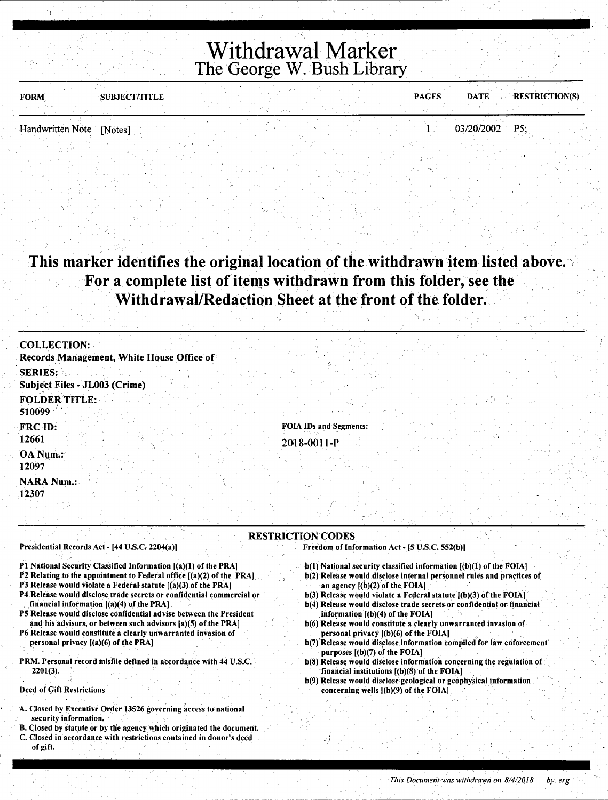| <b>FORM</b>              | <b>SUBJECT/TITLE</b> |  | <b>PAGES</b> | DATE RESTRICTION(S) |  |
|--------------------------|----------------------|--|--------------|---------------------|--|
|                          |                      |  |              |                     |  |
| Handwritten Note [Notes] |                      |  |              | 03/20/2002 P5;      |  |
|                          |                      |  |              |                     |  |

This marker identifies the original location of the withdrawn item listed above. For a complete list of items withdrawn from this folder, see the Withdrawal/Redaction Sheet at the front of the folder.

| <b>COLLECTION:</b><br>Records Management, White House Office of |                                              |
|-----------------------------------------------------------------|----------------------------------------------|
| <b>SERIES:</b><br>Subject Files - JL003 (Crime)                 |                                              |
| <b>FOLDER TITLE:</b><br>510099                                  |                                              |
| FRC ID:<br>12661                                                | <b>FOIA IDs and Segments:</b><br>2018-0011-P |
| OA Num.:<br>12097                                               |                                              |
| <b>NARA Num.:</b><br>12307                                      |                                              |

#### RESTRICTION CODES

Presidential Records Act - [44 U.S.C, 2204(a))

- Pl National Security Classified Information [(a)(l) of the PRA)
- P2 Relating to the appointment to Federal office [(a)(2) of the PRA]
- P3 Release would violate a Federal statute  $[(a)(3)$  of the PRA]
- P4 Release would disclose trade secrets or confidential commercial or financial information  $[(a)(4)$  of the PRA]
- PS Release would disclose confidential advise between the President and his advisors, or between such advisors [a)(S) of the PRA)
- P6 Release would constitute a clearly unwarranted invasion of personal privacy  $[(a)(6)$  of the PRA]
- PRM. Personal record misfile defined in accordance with 44 U.S.C.  $2201(3)$ .

Deed of Gift Restrictions

- A. Closed by Executive Order 13526 governing access to national security information.
- B. Closed by statute or by the agency which originated the document. C. Closed in accordance with restrictions contained in donor's deed of gift.
- b(1) National security classified information  $I(b)(1)$  of the FOIA) b(2) Release would disclose internal personnel rules and practices of
- an agency  $[(b)(2)$  of the FOIA]  $b(3)$  Release would violate a Federal statute  $[(b)(3)$  of the FOIA)

Freedom. of Information Act - (5 U.S.C. 552(b))

- b(4) Release would disclose trade secrets or confidential or financial information [(b)(4) of the FOIA]
- b(6) Release would constitute a clearly unwarranted invasion of personal privacy [(b)(6) of the FOIA]
- b(7) Release would disclose information compiled for law enforcement purposes  $[(b)(7)$  of the FOIA]
- b(S) Release would disclose information concerning the regulation of financial institutions  $[(b)(8)$  of the FOIA]
- b(9) Release would disclose' geological or geophysical information . concerning wells [(b)(9) of the FOIA)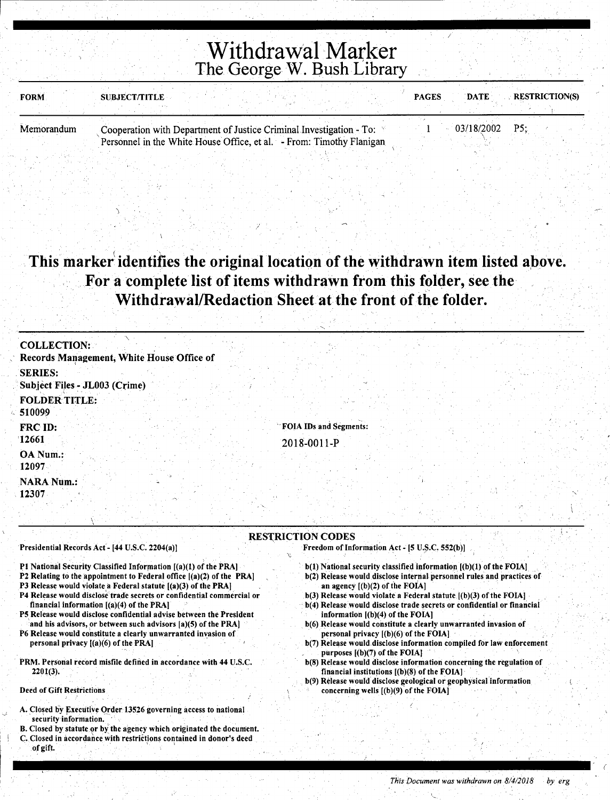| <b>FORM</b> | <b>SUBJECT/TITLE</b>                                                                                                                        | <b>PAGES</b> | <b>DATE</b> | <b>RESTRICTION(S)</b> |
|-------------|---------------------------------------------------------------------------------------------------------------------------------------------|--------------|-------------|-----------------------|
| Memorandum  | Cooperation with Department of Justice Criminal Investigation - To:<br>Personnel in the White House Office, et al. - From: Timothy Flanigan |              | 03/18/2002  | P5:                   |

### This marker identifies the original location of the withdrawn item listed above. For a complete list of items withdrawn from this folder, see the Withdrawal/Redaction Sheet at the front of the folder.

| <b>COLLECTION:</b>                              |                               |  |
|-------------------------------------------------|-------------------------------|--|
| Records Management, White House Office of       |                               |  |
| <b>SERIES:</b><br>Subject Files - JL003 (Crime) |                               |  |
| <b>FOLDER TITLE:</b><br>510099                  |                               |  |
| FRC ID:                                         | <b>FOIA IDs and Segments:</b> |  |
| 12661                                           | 2018-0011-P                   |  |
| OA Num.:<br>12097                               |                               |  |
| <b>NARA Num.:</b>                               |                               |  |
| 12307                                           |                               |  |

#### RESTRICTION CODES

Presidential Records Act - [44 U.S.C. 2204(a)]

 $\overline{\phantom{a}}$ 

- Pl National Security Classified Information [(a)(l) of the PRA]
- P2 Relating to the appointment to Federal office [(a)(2) of the PRA)
- P3 Release would violate a Federal statute [(a)(3) of the PRA]
- P4 Release would disclose trade secrets or confidential commercial or financial information [(a)(4) of the PRA]
- P5 Release would disclose confidential advise between the President and his advisors, or between such advisors [a)(5) of the PRA]
- P6 Release would constitute a clearly unwarranted invasion of personal privacy  $[(a)(6)$  of the PRA]
- PRM. Personal record misfile defined in accordance with 44 U.S.C. 2201(3).

#### Deed of Gift Restrictions

 $\frac{1}{2}$ 

r---

- A. Closed by Executive Order 13526 governing access to national security information.
- B. Closed by statute or by the agency which originated the document.
- C. Closed in accordance with restrictions contained in donor's deed of gift.
- Freedom of Information Act [5 U.S.C. 552(b)]
	- b(l) National security classified information [(b)(l) of the FOIA] b(2) Release would disclose internal personnel rules and practices of an agency  $[(b)(2)$  of the FOIA]
	- $b(3)$  Release would violate a Federal statute  $[(b)(3)$  of the FOIA]
	- b(4) Release would disclose trade secrets or confidential or financial information [(b)(4) of the FOIA]
	- b(6) Release would constitute a clearly unwarranted invasion of personal privacy [(b)(6) of the FOIA]
	- b(7) Release would disclose information compiled for law enforcement purposes [(b)(7) of the FOIAJ
	- b(8) Release would disclose information concerning the regulation of financial institutions  $[(b)(8)$  of the  $FOIA]$
	- b(9) Release would disclose geological or geophysical information concerning wells  $[(b)(9)$  of the FOIA]

(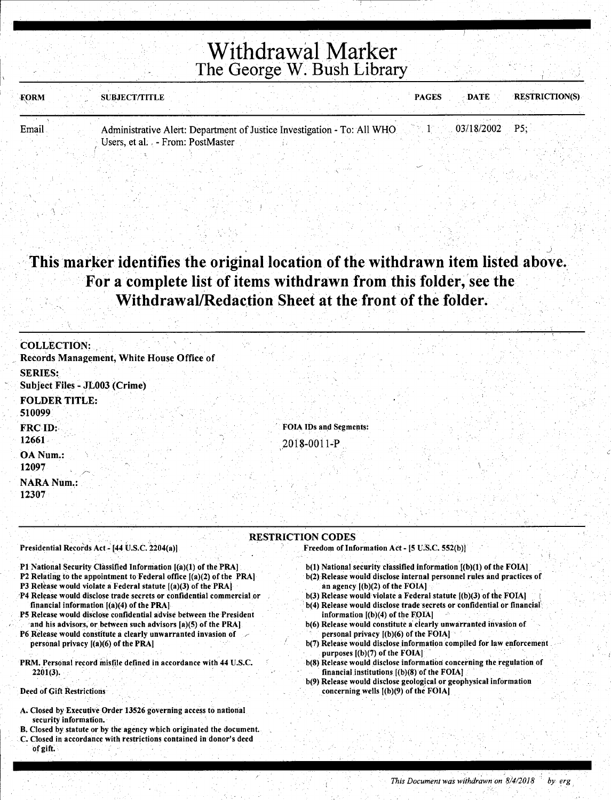| FORM  | <b>RESTRICTION(S)</b><br><b>DATE</b><br><b>PAGES</b><br><b>SUBJECT/TITLE</b>                |  |
|-------|---------------------------------------------------------------------------------------------|--|
|       |                                                                                             |  |
| Email | $03/18/2002$ P5:<br>Administrative Alert: Department of Justice Investigation - To: All WHO |  |
|       | Users, et al. - From: PostMaster                                                            |  |

### . The state of the set of the set of the set of the set of the set of the set of the set of the set of the set of the set of the set of the set of the set of the set of the set of the set of the set of the set of the set · This marker identifies the original location of the withdrawn item listed above .. For a complete list of items withdrawn from this folder, see the Withdrawal/Redaction Sheet at the front of the folder.

| <b>COLLECTION:</b><br>Records Management, White House Office of |                                              |
|-----------------------------------------------------------------|----------------------------------------------|
| <b>SERIES:</b><br>Subject Files - JL003 (Crime)                 |                                              |
| <b>FOLDER TITLE:</b><br>510099                                  |                                              |
| FRC ID:<br>12661                                                | <b>FOIA IDs and Segments:</b><br>2018-0011-P |
| OA Num.:<br>12097                                               |                                              |
| <b>NARA Num.:</b><br>12307                                      |                                              |

#### RESTRICTION CODES

Presidential Records Act - [44 U.S.C. 2204(a)]

- P1 National Security Classified Information  $I(a)(1)$  of the PRA]
- P2 Relating to the appointment to Federal office ((a)(2) of the PRA]
- P3 Release would violate a Federal statute  $[(a)(3)$  of the PRA]
- ·P4 Release would disclose trade secrets or confidential commercial or financial information [(a)(4) of the PRA]
- PS Release would disdose confidential advise between the President and his advisors, or between such advisors [a)(5) of the PRA]
- P6 Release would constitute a clearly unwarranted invasion of personal privacy [(a)(6) of the PRA]
- PRM. Personal record misfile defined in accordance with 44 U.S.C.  $2201(3)$ .

#### Deed of Gift Restrictions

- A. Closed by Executive Order 13526 governing access to national security information.
- 8. Closed by statute or by the agency which originated the document. C. Closed in accordance with restrictions contained in donor's deed of gift:
- Freedom of Information Act- (5 u;S.C. 552(b))
- $b(1)$  National security classified information  $[(b)(1)$  of the FOIA] b(2) Release would disclose internal personnel rules and practices of an agency [(b)(2) of the FOIA]
- $b(3)$  Release would violate a Federal statute  $[(b)(3)$  of the FOIA]
- b(4) Release would disclose trade secrets or confidential or financial information  $[(b)(4)$  of the FOIA]
- b(6) Release would constitute a clearly unwarranted invasion of personal privacy [(b)(6) of the FOIA]
- b(7) Release would disclose information compiled for law enforcement purposes  $[(b)(7)$  of the FOIA]
- b(8) Release would disclose information concerning the regulation of financial institutions [(b)(8) of the FOIA]
- b(9) Release would disclose geological or geophysical information concerning wells ((b)(9) of the FOIA]

I !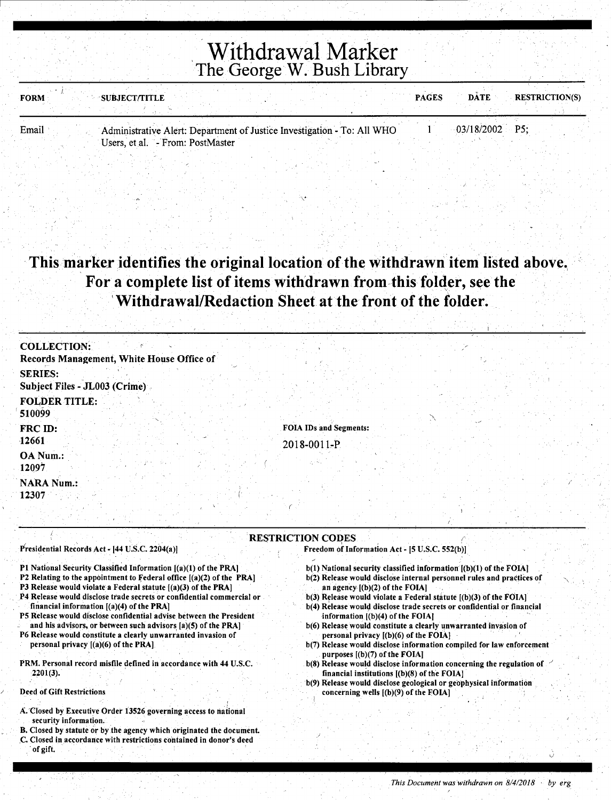| FORM  | <b>SUBJECT/TITLE</b>                                                    |  | <b>PAGES</b> | <b>RESTRICTION(S)</b><br><b>DATE</b> |  |
|-------|-------------------------------------------------------------------------|--|--------------|--------------------------------------|--|
|       |                                                                         |  |              |                                      |  |
| Email | Administrative Alert: Department of Justice Investigation - To: All WHO |  |              | $-03/18/2002$ P5:                    |  |
|       | Users, et al. - From: PostMaster                                        |  |              |                                      |  |

 $\checkmark$ 

### This marker identifies the original location of the withdrawn item listed above. For a complete list of items withdrawn from this folder, see the 'Withdrawal/Redaction Sheet at the front of the folder.

| <b>COLLECTION:</b>                              |                        |
|-------------------------------------------------|------------------------|
| Records Management, White House Office of       |                        |
| <b>SERIES:</b><br>Subject Files - JL003 (Crime) |                        |
| <b>FOLDER TITLE:</b><br>510099                  |                        |
| FRC ID:                                         | FOIA IDs and Segments: |
| 12661                                           | 2018-0011-P            |
| OA Num.:<br>12097                               |                        |
| <b>NARA Num.:</b><br>12307                      |                        |
|                                                 |                        |

#### **RESTRICTION CODES** *restriction*

Presidential Records Act - [44 U.S.C. 2204(a)]

- Pl National Security Classified Information [(a)(l) of the PRA)
- P2 Relating to the appointment to Federal office  $[(a)(2)$  of the PRA]
- P3 Release would violate a Federal statute [(a)(3) of the PRAJ
- P4 Release would disclose trade secrets or confidential commercial or financial information [(a)(4) of the PRAJ
- PS Release would disclose confidential advise between the President . and his advisors, or between such advisors [a)(S) of the PRAJ
- P6 Release would constitute a clearly unwarranted invasion of personal privacy [(a)(6) of the PRA)
- PRM. Personal record misfile defined in accordance with 44 U.S.C. 2201(3).

#### Deed of Gift Restrictions

- A. Closed by Executive Order 13526 governing access to national security information.
- B. Closed by statute or by the agency which originated the document.
- . C. Closed in accordance with restrictions contained in donor's deed of gift.
- Freedom of Information Act [5 U.S.C. 552(b)J
- b(l) National security classified information [(b)(l) of the FOIA)
- b(2) Release would disclose internal personnel rules and practices of an agency [(b)(2) of the FOIA]
- $b(3)$  Release would violate a Federal statute  $[(b)(3)$  of the FOIA]
- b(4) Release would disclose trade secrets or confidential or financial information  $[(b)(4)$  of the FOIA]
- b(6) Release would constitute a clearly unwarranted invasion of personal privacy  $[(b)(6)$  of the FOIA]
- b(7) Release would disclose information compiled for law enforcement purposes  $[(b)(7)$  of the FOIA]
- $b(8)$  Release would disclose information concerning the regulation of financial institutions [(b)(8) of the FOIAJ
- b(9) Release would disclose geological or geophysical information concerning wells [(b)(9) of the FOIA]

 $\hat{\mathcal{Q}}$  .